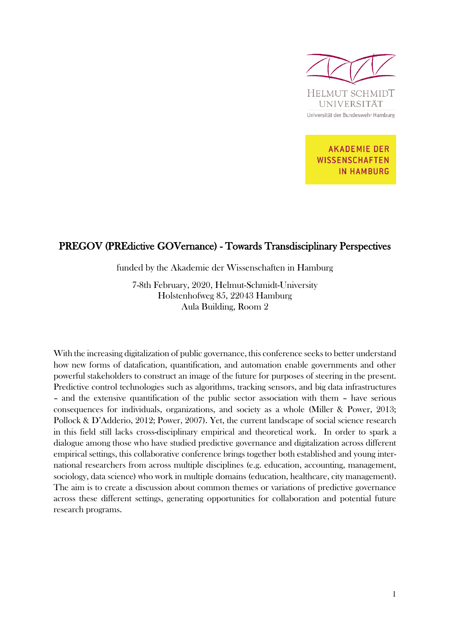

**AKADEMIE DER** WISSENSCHAFTEN **IN HAMBURG** 

## PREGOV (PREdictive GOVernance) - Towards Transdisciplinary Perspectives

funded by the Akademie der Wissenschaften in Hamburg

7-8th February, 2020, Helmut-Schmidt-University Holstenhofweg 85, 22043 Hamburg Aula Building, Room 2

With the increasing digitalization of public governance, this conference seeks to better understand how new forms of datafication, quantification, and automation enable governments and other powerful stakeholders to construct an image of the future for purposes of steering in the present. Predictive control technologies such as algorithms, tracking sensors, and big data infrastructures – and the extensive quantification of the public sector association with them – have serious consequences for individuals, organizations, and society as a whole (Miller & Power, 2013; Pollock & D'Adderio, 2012; Power, 2007). Yet, the current landscape of social science research in this field still lacks cross-disciplinary empirical and theoretical work. In order to spark a dialogue among those who have studied predictive governance and digitalization across different empirical settings, this collaborative conference brings together both established and young international researchers from across multiple disciplines (e.g. education, accounting, management, sociology, data science) who work in multiple domains (education, healthcare, city management). The aim is to create a discussion about common themes or variations of predictive governance across these different settings, generating opportunities for collaboration and potential future research programs.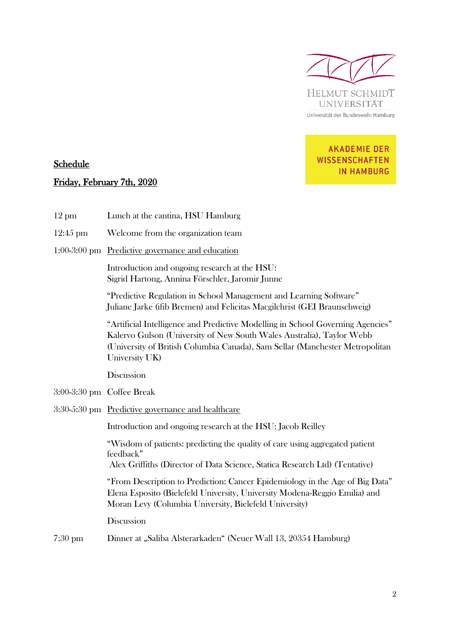

# **AKADEMIE DER** WISSENSCHAFTEN **IN HAMBURG**

### Schedule

#### Friday, February 7th, 2020

12 pm Lunch at the cantina, HSU Hamburg 12:45 pm Welcome from the organization team 1:00-3:00 pm Predictive governance and education Introduction and ongoing research at the HSU: Sigrid Hartong, Annina Förschler, Jaromir Junne "Predictive Regulation in School Management and Learning Software" Juliane Jarke (ifib Bremen) and Felicitas Macgilchrist (GEI Braunschweig) "Artificial Intelligence and Predictive Modelling in School Governing Agencies" Kalervo Gulson (University of New South Wales Australia), Taylor Webb (University of British Columbia Canada), Sam Sellar (Manchester Metropolitan University UK) **Discussion** 3:00-3:30 pm Coffee Break 3:30-5:30 pm Predictive governance and healthcare Introduction and ongoing research at the HSU: Jacob Reilley "Wisdom of patients: predicting the quality of care using aggregated patient feedback" Alex Griffiths (Director of Data Science, Statica Research Ltd) (Tentative) "From Description to Prediction: Cancer Epidemiology in the Age of Big Data" Elena Esposito (Bielefeld University, University Modena-Reggio Emilia) and Moran Levy (Columbia University, Bielefeld University) **Discussion** 7:30 pm Dinner at "Saliba Alsterarkaden" (Neuer Wall 13, 20354 Hamburg)